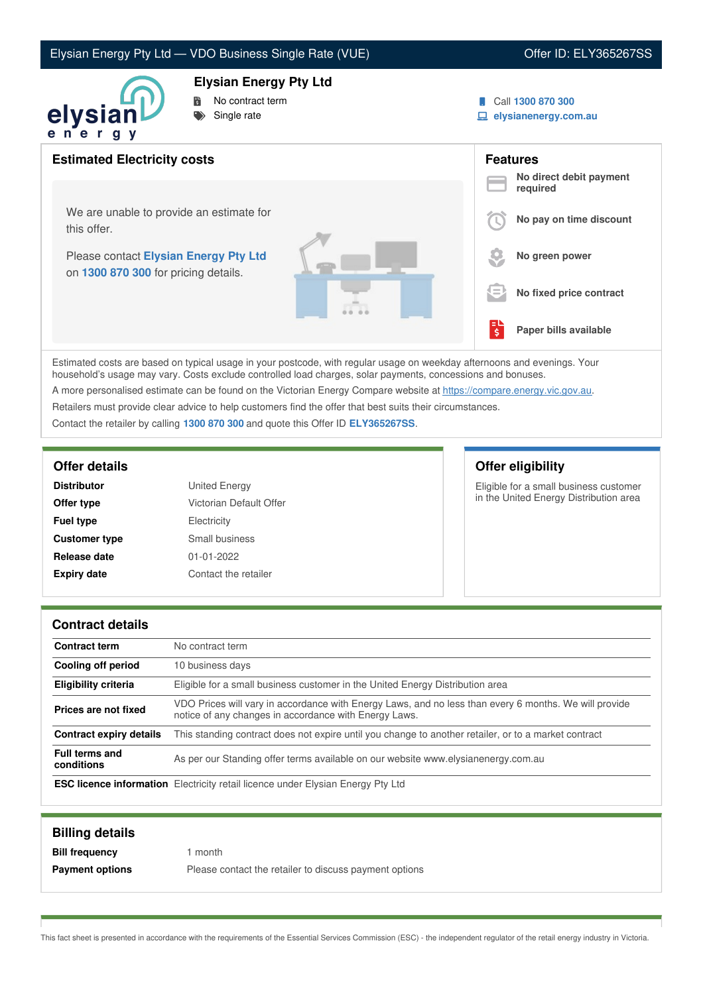### Elysian Energy Pty Ltd — VDO Business Single Rate (VUE) Contract Contract Contract Contract Contract Contract Contract Contract Contract Contract Contract Contract Contract Contract Contract Contract Contract Contract Cont



# No contract term

**Elysian Energy Pty Ltd**

Single rate

### Call **1300 870 300**

**elysianenergy.com.au**

| $\sim$<br>. .                                                                 |     |                                     |
|-------------------------------------------------------------------------------|-----|-------------------------------------|
| <b>Estimated Electricity costs</b>                                            |     | <b>Features</b>                     |
|                                                                               |     | No direct debit payment<br>required |
| We are unable to provide an estimate for<br>this offer.                       |     | No pay on time discount             |
| Please contact Elysian Energy Pty Ltd<br>on 1300 870 300 for pricing details. |     | No green power                      |
|                                                                               | $=$ | No fixed price contract             |
|                                                                               | 텋   | Paper bills available               |

Estimated costs are based on typical usage in your postcode, with regular usage on weekday afternoons and evenings. Your household's usage may vary. Costs exclude controlled load charges, solar payments, concessions and bonuses. A more personalised estimate can be found on the Victorian Energy Compare website at <https://compare.energy.vic.gov.au>.

Retailers must provide clear advice to help customers find the offer that best suits their circumstances.

Contact the retailer by calling **1300 870 300** and quote this Offer ID **ELY365267SS**.

| <b>Distributor</b>   | <b>United Energy</b>    |
|----------------------|-------------------------|
| Offer type           | Victorian Default Offer |
| <b>Fuel type</b>     | Electricity             |
| <b>Customer type</b> | Small business          |
| Release date         | $01 - 01 - 2022$        |
| <b>Expiry date</b>   | Contact the retailer    |

# **Offer details Offer eligibility**

Eligible for a small business customer in the United Energy Distribution area

### **Contract details**

| <b>Contract term</b>                | No contract term                                                                                                                                               |  |
|-------------------------------------|----------------------------------------------------------------------------------------------------------------------------------------------------------------|--|
| Cooling off period                  | 10 business days                                                                                                                                               |  |
| <b>Eligibility criteria</b>         | Eligible for a small business customer in the United Energy Distribution area                                                                                  |  |
| Prices are not fixed                | VDO Prices will vary in accordance with Energy Laws, and no less than every 6 months. We will provide<br>notice of any changes in accordance with Energy Laws. |  |
| <b>Contract expiry details</b>      | This standing contract does not expire until you change to another retailer, or to a market contract                                                           |  |
| <b>Full terms and</b><br>conditions | As per our Standing offer terms available on our website www.elysianenergy.com.au                                                                              |  |
|                                     | <b>ESC licence information</b> Electricity retail licence under Elysian Energy Pty Ltd                                                                         |  |

| <b>Billing details</b> |                                                        |
|------------------------|--------------------------------------------------------|
| <b>Bill frequency</b>  | month                                                  |
| <b>Payment options</b> | Please contact the retailer to discuss payment options |